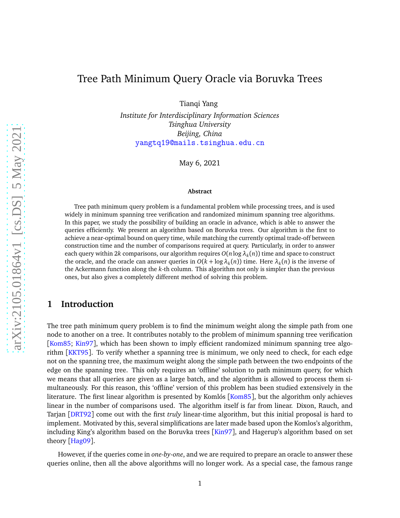# <span id="page-0-0"></span>Tree Path Minimum Query Oracle via Boruvka Trees

Tianqi Yang

*Institute for Interdisciplinary Information Sciences Tsinghua University Beijing, China* [yangtq19@mails.tsinghua.edu.cn](mailto:yantq19@mails.tsinghua.edu.cn)

May 6, 2021

#### **Abstract**

Tree path minimum query problem is a fundamental problem while processing trees, and is used widely in minimum spanning tree verification and randomized minimum spanning tree algorithms. In this paper, we study the possibility of building an oracle in advance, which is able to answer the queries efficiently. We present an algorithm based on Boruvka trees. Our algorithm is the first to achieve a near-optimal bound on query time, while matching the currently optimal trade-off between construction time and the number of comparisons required at query. Particularly, in order to answer each query within 2*k* comparisons, our algorithm requires *O*(*n*log *λ<sup>k</sup>* (*n*)) time and space to construct the oracle, and the oracle can answer queries in  $O(k + \log \lambda_k(n))$  time. Here  $\lambda_k(n)$  is the inverse of the Ackermann function along the *k*-th column. This algorithm not only is simpler than the previous ones, but also gives a completely different method of solving this problem.

## **1 Introduction**

The tree path minimum query problem is to find the minimum weight along the simple path from one node to another on a tree. It contributes notably to the problem of minimum spanning tree verification [[Kom85;](#page-9-0) [Kin97](#page-9-1)], which has been shown to imply efficient randomized minimum spanning tree algorithm [[KKT95](#page-9-2)]. To verify whether a spanning tree is minimum, we only need to check, for each edge not on the spanning tree, the maximum weight along the simple path between the two endpoints of the edge on the spanning tree. This only requires an 'offline' solution to path minimum query, for which we means that all queries are given as a large batch, and the algorithm is allowed to process them simultaneously. For this reason, this 'offline' version of this problem has been studied extensively in the literature. The first linear algorithm is presented by Komlós [[Kom85](#page-9-0)], but the algorithm only achieves linear in the number of comparisons used. The algorithm itself is far from linear. Dixon, Rauch, and Tarjan [[DRT92](#page-9-3)] come out with the first *truly* linear-time algorithm, but this initial proposal is hard to implement. Motivated by this, several simplifications are later made based upon the Komlos's algorithm, including King's algorithm based on the Boruvka trees [[Kin97](#page-9-1)], and Hagerup's algorithm based on set theory [[Hag09](#page-9-4)].

However, if the queries come in *one-by-one*, and we are required to prepare an oracle to answer these queries online, then all the above algorithms will no longer work. As a special case, the famous range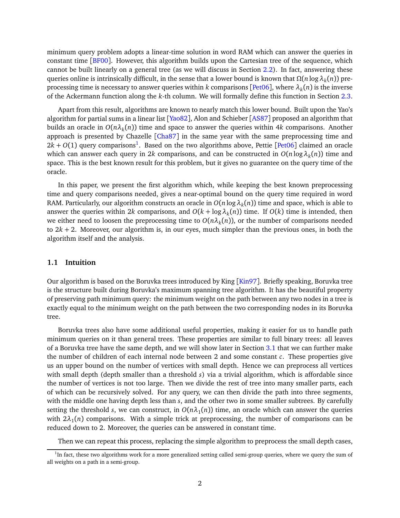<span id="page-1-1"></span>minimum query problem adopts a linear-time solution in word RAM which can answer the queries in constant time [[BF00](#page-9-5)]. However, this algorithm builds upon the Cartesian tree of the sequence, which cannot be built linearly on a general tree (as we will discuss in Section [2.2\)](#page-3-0). In fact, answering these queries online is intrinsically difficult, in the sense that a lower bound is known that *Ω*(*n* log*λ<sup>k</sup>* (*n*)) preprocessing time is necessary to answer queries within *k* comparisons [[Pet06](#page-9-6)], where *λ<sup>k</sup>* (*n*) is the inverse of the Ackermann function along the *k*-th column. We will formally define this function in Section [2.3.](#page-4-0)

Apart from this result, algorithms are known to nearly match this lower bound. Built upon the Yao's algorithm for partial sums in a linear list [[Yao82](#page-9-7)], Alon and Schieber [[AS87](#page-9-8)] proposed an algorithm that builds an oracle in *O*(*nλ<sup>k</sup>* (*n*)) time and space to answer the queries within 4*k* comparisons. Another approach is presented by Chazelle [[Cha87](#page-9-9)] in the same year with the same preprocessing time and  $2k + O(1)$  $2k + O(1)$  $2k + O(1)$  query comparisons<sup>1</sup>. Based on the two algorithms above, Pettie [[Pet06](#page-9-6)] claimed an oracle which can answer each query in 2*k* comparisons, and can be constructed in  $O(n \log \lambda_k(n))$  time and space. This is the best known result for this problem, but it gives no guarantee on the query time of the oracle.

In this paper, we present the first algorithm which, while keeping the best known preprocessing time and query comparisons needed, gives a near-optimal bound on the query time required in word RAM. Particularly, our algorithm constructs an oracle in  $O(n\log\lambda_k(n))$  time and space, which is able to answer the queries within 2*k* comparisons, and  $O(k + \log \lambda_k(n))$  time. If  $O(k)$  time is intended, then we either need to loosen the preprocessing time to  $O(n\lambda_k(n))$ , or the number of comparisons needed to  $2k + 2$ . Moreover, our algorithm is, in our eyes, much simpler than the previous ones, in both the algorithm itself and the analysis.

### **1.1 Intuition**

Our algorithm is based on the Boruvka trees introduced by King [[Kin97](#page-9-1)]. Briefly speaking, Boruvka tree is the structure built during Boruvka's maximum spanning tree algorithm. It has the beautiful property of preserving path minimum query: the minimum weight on the path between any two nodes in a tree is exactly equal to the minimum weight on the path between the two corresponding nodes in its Boruvka tree.

Boruvka trees also have some additional useful properties, making it easier for us to handle path minimum queries on it than general trees. These properties are similar to full binary trees: all leaves of a Boruvka tree have the same depth, and we will show later in Section [3.1](#page-5-0) that we can further make the number of children of each internal node between 2 and some constant *c*. These properties give us an upper bound on the number of vertices with small depth. Hence we can preprocess all vertices with small depth (depth smaller than a threshold *s*) via a trivial algorithm, which is affordable since the number of vertices is not too large. Then we divide the rest of tree into many smaller parts, each of which can be recursively solved. For any query, we can then divide the path into three segments, with the middle one having depth less than *s*, and the other two in some smaller subtrees. By carefully setting the threshold *s*, we can construct, in  $O(n\lambda_1(n))$  time, an oracle which can answer the queries with  $2\lambda_1(n)$  comparisons. With a simple trick at preprocessing, the number of comparisons can be reduced down to 2. Moreover, the queries can be answered in constant time.

Then we can repeat this process, replacing the simple algorithm to preprocess the small depth cases,

<span id="page-1-0"></span><sup>&</sup>lt;sup>1</sup>In fact, these two algorithms work for a more generalized setting called semi-group queries, where we query the sum of all weights on a path in a semi-group.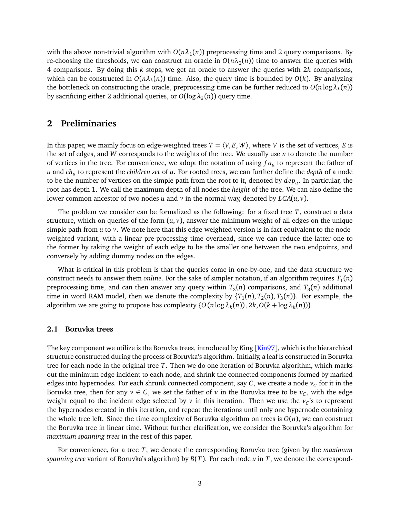<span id="page-2-1"></span>with the above non-trivial algorithm with  $O(n\lambda_1(n))$  preprocessing time and 2 query comparisons. By re-choosing the thresholds, we can construct an oracle in  $O(n\lambda_2(n))$  time to answer the queries with 4 comparisons. By doing this *k* steps, we get an oracle to answer the queries with 2*k* comparisons, which can be constructed in *O*(*nλ<sup>k</sup>* (*n*)) time. Also, the query time is bounded by *O*(*k*). By analyzing the bottleneck on constructing the oracle, preprocessing time can be further reduced to  $O(n\log\lambda_k(n))$ by sacrificing either 2 additional queries, or *O*(log*λ<sup>k</sup>* (*n*)) query time.

### **2 Preliminaries**

In this paper, we mainly focus on edge-weighted trees  $T = \langle V, E, W \rangle$ , where *V* is the set of vertices, *E* is the set of edges, and *W* corresponds to the weights of the tree. We usually use *n* to denote the number of vertices in the tree. For convenience, we adopt the notation of using *f a<sup>u</sup>* to represent the father of *u* and *ch<sup>u</sup>* to represent the *children set* of *u*. For rooted trees, we can further define the *depth* of a node to be the number of vertices on the simple path from the root to it, denoted by *dep<sup>u</sup>* . In particular, the root has depth 1. We call the maximum depth of all nodes the *height* of the tree. We can also define the lower common ancestor of two nodes *u* and *v* in the normal way, denoted by  $LCA(u, v)$ .

The problem we consider can be formalized as the following: for a fixed tree *T*, construct a data structure, which on queries of the form  $(u, v)$ , answer the minimum weight of all edges on the unique simple path from *u* to *v*. We note here that this edge-weighted version is in fact equivalent to the nodeweighted variant, with a linear pre-processing time overhead, since we can reduce the latter one to the former by taking the weight of each edge to be the smaller one between the two endpoints, and conversely by adding dummy nodes on the edges.

What is critical in this problem is that the queries come in one-by-one, and the data structure we construct needs to answer them *online*. For the sake of simpler notation, if an algorithm requires  $T_1(n)$ preprocessing time, and can then answer any query within  $T_2(n)$  comparisons, and  $T_3(n)$  additional time in word RAM model, then we denote the complexity by  $\{T_1(n), T_2(n), T_3(n)\}$ . For example, the algorithm we are going to propose has complexity  $\{O(n \log \lambda_k(n)), 2k, O(k + \log \lambda_k(n))\}.$ 

#### <span id="page-2-0"></span>**2.1 Boruvka trees**

The key component we utilize is the Boruvka trees, introduced by King  $\left[\frac{Kin97}{}$  $\left[\frac{Kin97}{}$  $\left[\frac{Kin97}{}$ , which is the hierarchical structure constructed during the process of Boruvka's algorithm. Initially, a leaf is constructed in Boruvka tree for each node in the original tree *T*. Then we do one iteration of Boruvka algorithm, which marks out the minimum edge incident to each node, and shrink the connected components formed by marked edges into hypernodes. For each shrunk connected component, say  $C$ , we create a node  $v_C$  for it in the Boruvka tree, then for any  $v \in C$ , we set the father of *v* in the Boruvka tree to be  $v_C$ , with the edge weight equal to the incident edge selected by  $\nu$  in this iteration. Then we use the  $\nu_C$ 's to represent the hypernodes created in this iteration, and repeat the iterations until only one hypernode containing the whole tree left. Since the time complexity of Boruvka algorithm on trees is  $O(n)$ , we can construct the Boruvka tree in linear time. Without further clarification, we consider the Boruvka's algorithm for *maximum spanning trees* in the rest of this paper.

For convenience, for a tree *T*, we denote the corresponding Boruvka tree (given by the *maximum spanning tree* variant of Boruvka's algorithm) by *B*(*T*). For each node *u* in *T*, we denote the correspond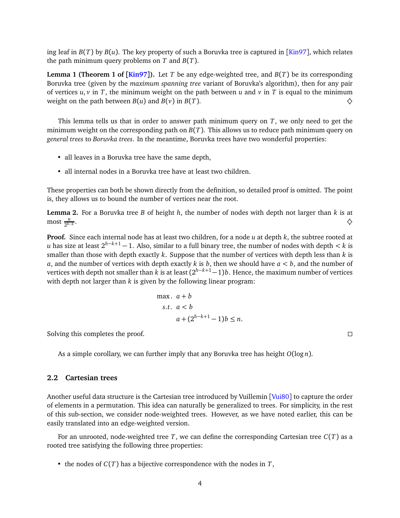<span id="page-3-3"></span><span id="page-3-1"></span>ing leaf in  $B(T)$  by  $B(u)$ . The key property of such a Boruvka tree is captured in [[Kin97](#page-9-1)], which relates the path minimum query problems on *T* and *B*(*T*).

**Lemma 1 (Theorem 1 of**  $\text{[Kin97]}$  $\text{[Kin97]}$  $\text{[Kin97]}$ **).** Let *T* be any edge-weighted tree, and  $B(T)$  be its corresponding Boruvka tree (given by the *maximum spanning tree* variant of Boruvka's algorithm), then for any pair of vertices  $u, v$  in *T*, the minimum weight on the path between *u* and *v* in *T* is equal to the minimum weight on the path between *B*(*u*) and *B*(*v*) in *B*(*T*).  $\diamondsuit$ 

This lemma tells us that in order to answer path minimum query on *T*, we only need to get the minimum weight on the corresponding path on *B*(*T*). This allows us to reduce path minimum query on *general trees* to *Boruvka trees*. In the meantime, Boruvka trees have two wonderful properties:

- all leaves in a Boruvka tree have the same depth,
- all internal nodes in a Boruvka tree have at least two children.

These properties can both be shown directly from the definition, so detailed proof is omitted. The point is, they allows us to bound the number of vertices near the root.

**Lemma 2.** For a Boruvka tree *B* of height *h*, the number of nodes with depth not larger than *k* is at  $\frac{n}{2^{h-k}}$ . And the contract of the contract of the contract of the contract of the contract of the contract of the contract of the contract of the contract of the contract of the contract of the contract of the contract of the con

**Proof.** Since each internal node has at least two children, for a node *u* at depth *k*, the subtree rooted at *u* has size at least  $2^{h-k+1} - 1$ . Also, similar to a full binary tree, the number of nodes with depth  $\lt k$  is smaller than those with depth exactly *k*. Suppose that the number of vertices with depth less than *k* is *a*, and the number of vertices with depth exactly *k* is *b*, then we should have *a < b*, and the number of vertices with depth not smaller than *k* is at least (2 *<sup>h</sup>*−*k*+1−1)*b*. Hence, the maximum number of vertices with depth not larger than *k* is given by the following linear program:

<span id="page-3-2"></span>
$$
\max. \ a + b
$$
  
s.t.  $a < b$   

$$
a + (2^{h-k+1} - 1)b \le n.
$$

Solving this completes the proof.

As a simple corollary, we can further imply that any Boruvka tree has height *O*(log *n*).

#### <span id="page-3-0"></span>**2.2 Cartesian trees**

Another useful data structure is the Cartesian tree introduced by Vuillemin [[Vui80](#page-9-10)] to capture the order of elements in a permutation. This idea can naturally be generalized to trees. For simplicity, in the rest of this sub-section, we consider node-weighted trees. However, as we have noted earlier, this can be easily translated into an edge-weighted version.

For an unrooted, node-weighted tree *T*, we can define the corresponding Cartesian tree *C*(*T*) as a rooted tree satisfying the following three properties:

• the nodes of  $C(T)$  has a bijective correspondence with the nodes in  $T$ ,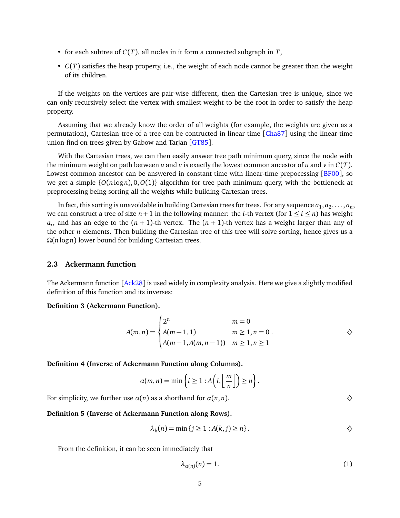- <span id="page-4-2"></span>• for each subtree of *C*(*T*), all nodes in it form a connected subgraph in *T*,
- *C*(*T*) satisfies the heap property, i.e., the weight of each node cannot be greater than the weight of its children.

If the weights on the vertices are pair-wise different, then the Cartesian tree is unique, since we can only recursively select the vertex with smallest weight to be the root in order to satisfy the heap property.

Assuming that we already know the order of all weights (for example, the weights are given as a permutation), Cartesian tree of a tree can be contructed in linear time [[Cha87](#page-9-9)] using the linear-time union-find on trees given by Gabow and Tarjan [[GT85](#page-9-11)].

With the Cartesian trees, we can then easily answer tree path minimum query, since the node with the minimum weight on path between *u* and *v* is exactly the lowest common ancestor of *u* and *v* in  $C(T)$ . Lowest common ancestor can be answered in constant time with linear-time prepocessing [[BF00](#page-9-5)], so we get a simple  $\{O(n \log n), O(O(1)\}\)$  algorithm for tree path minimum query, with the bottleneck at preprocessing being sorting all the weights while building Cartesian trees.

In fact, this sorting is unavoidable in building Cartesian trees for trees. For any sequence  $a_1, a_2, \ldots, a_n,$ we can construct a tree of size  $n + 1$  in the following manner: the *i*-th vertex (for  $1 \le i \le n$ ) has weight  $a_i$ , and has an edge to the  $(n + 1)$ -th vertex. The  $(n + 1)$ -th vertex has a weight larger than any of the other *n* elements. Then building the Cartesian tree of this tree will solve sorting, hence gives us a *Ω*(*n* log *n*) lower bound for building Cartesian trees.

#### <span id="page-4-0"></span>**2.3 Ackermann function**

The Ackermann function [[Ack28](#page-9-12)] is used widely in complexity analysis. Here we give a slightly modified definition of this function and its inverses:

#### **Definition 3 (Ackermann Function).**

$$
A(m, n) = \begin{cases} 2^n & m = 0 \\ A(m-1, 1) & m \ge 1, n = 0 \\ A(m-1, A(m, n-1)) & m \ge 1, n \ge 1 \end{cases}
$$

**Definition 4 (Inverse of Ackermann Function along Columns).**

$$
\alpha(m,n) = \min\left\{i \geq 1 : A\left(i, \left\lfloor\frac{m}{n}\right\rfloor\right) \geq n\right\}.
$$

For simplicity, we further use  $\alpha(n)$  as a shorthand for  $\alpha(n, n)$ .  $\diamondsuit$ 

#### **Definition 5 (Inverse of Ackermann Function along Rows).**

$$
\lambda_k(n) = \min\{j \ge 1 : A(k, j) \ge n\}.
$$

From the definition, it can be seen immediately that

<span id="page-4-1"></span>
$$
\lambda_{\alpha(n)}(n) = 1. \tag{1}
$$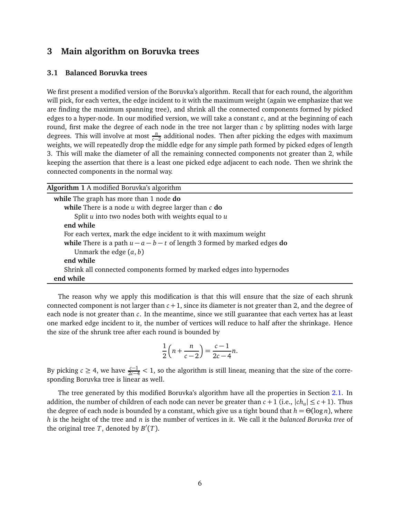## <span id="page-5-0"></span>**3 Main algorithm on Boruvka trees**

#### **3.1 Balanced Boruvka trees**

We first present a modified version of the Boruvka's algorithm. Recall that for each round, the algorithm will pick, for each vertex, the edge incident to it with the maximum weight (again we emphasize that we are finding the maximum spanning tree), and shrink all the connected components formed by picked edges to a hyper-node. In our modified version, we will take a constant *c*, and at the beginning of each round, first make the degree of each node in the tree not larger than *c* by splitting nodes with large degrees. This will involve at most  $\frac{n}{c-2}$  additional nodes. Then after picking the edges with maximum weights, we will repeatedly drop the middle edge for any simple path formed by picked edges of length 3. This will make the diameter of all the remaining connected components not greater than 2, while keeping the assertion that there is a least one picked edge adjacent to each node. Then we shrink the connected components in the normal way.

| Algorithm 1 A modified Boruvka's algorithm                                  |
|-----------------------------------------------------------------------------|
| while The graph has more than 1 node do                                     |
| while There is a node $u$ with degree larger than $c$ do                    |
| Split $u$ into two nodes both with weights equal to $u$                     |
| end while                                                                   |
| For each vertex, mark the edge incident to it with maximum weight           |
| while There is a path $u - a - b - t$ of length 3 formed by marked edges do |
| Unmark the edge $(a, b)$                                                    |
| end while                                                                   |
| Shrink all connected components formed by marked edges into hypernodes      |
| end while                                                                   |

The reason why we apply this modification is that this will ensure that the size of each shrunk connected component is not larger than *c* +1, since its diameter is not greater than 2, and the degree of each node is not greater than *c*. In the meantime, since we still guarantee that each vertex has at least one marked edge incident to it, the number of vertices will reduce to half after the shrinkage. Hence the size of the shrunk tree after each round is bounded by

$$
\frac{1}{2}\left(n+\frac{n}{c-2}\right)=\frac{c-1}{2c-4}n.
$$

By picking  $c \ge 4$ , we have  $\frac{c-1}{2c-4} < 1$ , so the algorithm is still linear, meaning that the size of the corresponding Boruvka tree is linear as well.

The tree generated by this modified Boruvka's algorithm have all the properties in Section [2.1.](#page-2-0) In addition, the number of children of each node can never be greater than  $c + 1$  (i.e.,  $|ch_u| \leq c + 1$ ). Thus the degree of each node is bounded by a constant, which give us a tight bound that  $h = \Theta(\log n)$ , where *h* is the height of the tree and *n* is the number of vertices in it. We call it the *balanced Boruvka tree* of the original tree  $T$ , denoted by  $B'(T)$ .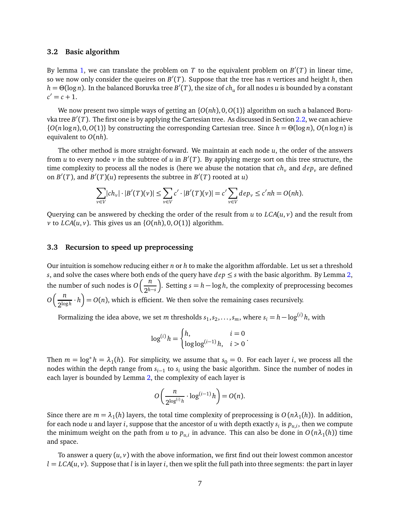#### <span id="page-6-1"></span>**3.2 Basic algorithm**

By lemma [1,](#page-3-1) we can translate the problem on  $T$  to the equivalent problem on  $B'(T)$  in linear time, so we now only consider the queires on *B* ′ (*T*). Suppose that the tree has *n* vertices and height *h*, then *h* = *Θ*(log *n*). In the balanced Boruvka tree *B* ′ (*T*), the size of *ch<sup>u</sup>* for all nodes *u* is bounded by a constant  $c' = c + 1.$ 

We now present two simple ways of getting an {*O*(*nh*), 0,*O*(1)} algorithm on such a balanced Boruvka tree *B* ′ (*T*). The first one is by applying the Cartesian tree. As discussed in Section [2.2,](#page-3-0) we can achieve  $\{O(n \log n), O(1)\}$  by constructing the corresponding Cartesian tree. Since  $h = \Theta(\log n)$ ,  $O(n \log n)$  is equivalent to *O*(*nh*).

The other method is more straight-forward. We maintain at each node *u*, the order of the answers from *u* to every node *v* in the subtree of *u* in  $B'(T)$ . By applying merge sort on this tree structure, the time complexity to process all the nodes is (here we abuse the notation that  $ch<sub>v</sub>$  and  $dep<sub>v</sub>$  are defined on  $B'(T)$ , and  $B'(T)(u)$  represents the subtree in  $B'(T)$  rooted at *u*)

$$
\sum_{v \in V} |ch_v| \cdot |B'(T)(v)| \le \sum_{v \in V} c' \cdot |B'(T)(v)| = c' \sum_{v \in V} dep_v \le c'nh = O(nh).
$$

Querying can be answered by checking the order of the result from *u* to *LCA*(*u*, *v*) and the result from *v* to *LCA*( $u$ ,  $v$ ). This gives us an { $O(nh)$ ,  $O$ ,  $O(1)$ } algorithm.

#### <span id="page-6-0"></span>**3.3 Recursion to speed up preprocessing**

Our intuition is somehow reducing either *n* or *h* to make the algorithm affordable. Let us set a threshold *s*, and solve the cases where both ends of the query have  $dep \leq s$  with the basic algorithm. By Lemma [2,](#page-3-2) the number of such nodes is  $O\left(\frac{n}{\delta} \right)$ 2*h*−*<sup>s</sup>* ). Setting *s* = *h* − log *h*, the complexity of preprocessing becomes  $O\left(\frac{n}{2\log n}\right)$  $\left(\frac{n}{2^{\log h}} \cdot h\right) = O(n)$ , which is efficient. We then solve the remaining cases recursively.

Formalizing the idea above, we set  $m$  thresholds  $s_1, s_2, \ldots, s_m,$  where  $s_i = h - \log^{(i)} h,$  with

$$
\log^{(i)} h = \begin{cases} h, & i = 0 \\ \log \log^{(i-1)} h, & i > 0 \end{cases}.
$$

Then  $m = \log^* h = \lambda_1(h)$ . For simplicity, we assume that  $s_0 = 0$ . For each layer *i*, we process all the nodes within the depth range from  $s_{i-1}$  to  $s_i$  using the basic algorithm. Since the number of nodes in each layer is bounded by Lemma [2,](#page-3-2) the complexity of each layer is

$$
O\left(\frac{n}{2^{\log^{(i)}h}} \cdot \log^{(i-1)}h\right) = O(n).
$$

Since there are  $m = \lambda_1(h)$  layers, the total time complexity of preprocessing is  $O(n\lambda_1(h))$ . In addition, for each node *u* and layer *i*, suppose that the ancestor of *u* with depth exactly *s<sup>i</sup>* is *pu*,*<sup>i</sup>* , then we compute the minimum weight on the path from *u* to  $p_{u,i}$  in advance. This can also be done in  $O(n\lambda_1(h))$  time and space.

To answer a query  $(u, v)$  with the above information, we first find out their lowest common ancestor  $l = LCA(u, v)$ . Suppose that *l* is in layer *i*, then we split the full path into three segments: the part in layer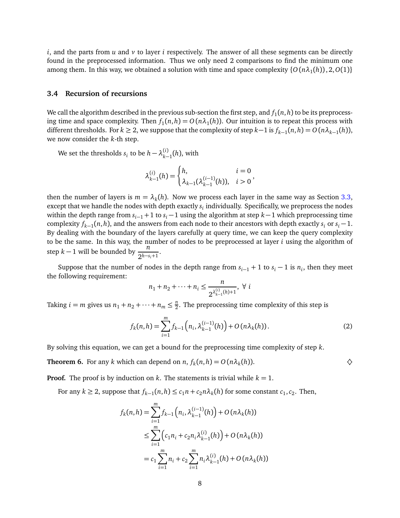*i*, and the parts from *u* and *v* to layer *i* respectively. The answer of all these segments can be directly found in the preprocessed information. Thus we only need 2 comparisons to find the minimum one among them. In this way, we obtained a solution with time and space complexity  $\{O(n\lambda_1(h)), 2, O(1)\}$ 

#### **3.4 Recursion of recursions**

We call the algorithm described in the previous sub-section the first step, and  $f_1(n,h)$  to be its preprocessing time and space complexity. Then  $f_1(n,h) = O(n\lambda_1(h))$ . Our intuition is to repeat this process with different thresholds. For  $k \geq 2$ , we suppose that the complexity of step  $k-1$  is  $f_{k-1}(n,h) = O(n\lambda_{k-1}(h))$ , we now consider the *k*-th step.

We set the thresholds  $s_i$  to be  $h - \lambda_{k-1}^{(i)}$  $_{k-1}^{(i)}(h)$ , with

$$
\lambda_{k-1}^{(i)}(h) = \begin{cases} h, & i = 0\\ \lambda_{k-1}(\lambda_{k-1}^{(i-1)}(h)), & i > 0 \end{cases}
$$

then the number of layers is  $m = \lambda_k(h)$ . Now we process each layer in the same way as Section [3.3,](#page-6-0) except that we handle the nodes with depth exactly *s<sup>i</sup>* individually. Specifically, we preprocess the nodes within the depth range from  $s_{i-1}$  + 1 to  $s_i$  − 1 using the algorithm at step  $k-1$  which preprocessing time complexity  $f_{k-1}(n, h)$ , and the answers from each node to their ancestors with depth exactly  $s_i$  or  $s_i - 1$ . By dealing with the boundary of the layers carefully at query time, we can keep the query complexity to be the same. In this way, the number of nodes to be preprocessed at layer *i* using the algorithm of step *k* − 1 will be bounded by  $\frac{n}{2^{h-s_i+1}}$ .

Suppose that the number of nodes in the depth range from  $s_{i-1} + 1$  to  $s_i - 1$  is  $n_i$ , then they meet the following requirement:

$$
n_1 + n_2 + \dots + n_i \le \frac{n}{2^{\lambda_{k-1}^{(i)}(h)+1}}, \ \forall \ i
$$

Taking  $i = m$  gives us  $n_1 + n_2 + \cdots + n_m \leq \frac{n}{2}$  $\frac{n}{2}$ . The preprocessing time complexity of this step is

<span id="page-7-1"></span>
$$
f_k(n,h) = \sum_{i=1}^{m} f_{k-1}\left(n_i, \lambda_{k-1}^{(i-1)}(h)\right) + O\left(n\lambda_k(h)\right). \tag{2}
$$

<span id="page-7-0"></span>By solving this equation, we can get a bound for the preprocessing time complexity of step *k*.

**Theorem 6.** For any *k* which can depend on *n*,  $f_k(n,h) = O(n\lambda_k(h))$ .

**Proof.** The proof is by induction on  $k$ . The statements is trivial while  $k = 1$ .

For any  $k \ge 2$ , suppose that  $f_{k-1}(n, h) \le c_1 n + c_2 n \lambda_k(h)$  for some constant  $c_1, c_2$ . Then,

$$
f_k(n,h) = \sum_{i=1}^m f_{k-1}(n_i, \lambda_{k-1}^{(i-1)}(h)) + O(n\lambda_k(h))
$$
  

$$
\leq \sum_{i=1}^m (c_1 n_i + c_2 n_i \lambda_{k-1}^{(i)}(h)) + O(n\lambda_k(h))
$$
  

$$
= c_1 \sum_{i=1}^m n_i + c_2 \sum_{i=1}^m n_i \lambda_{k-1}^{(i)}(h) + O(n\lambda_k(h))
$$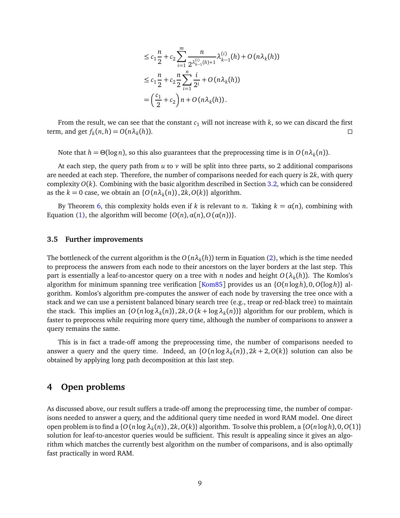$$
\leq c_1 \frac{n}{2} + c_2 \sum_{i=1}^{m} \frac{n}{2^{\lambda_{k-1}^{(i)}(h)+1}} \lambda_{k-1}^{(i)}(h) + O(n \lambda_k(h))
$$
  
\n
$$
\leq c_1 \frac{n}{2} + c_2 \frac{n}{2} \sum_{i=1}^{n} \frac{i}{2^i} + O(n \lambda_k(h))
$$
  
\n
$$
= \left(\frac{c_1}{2} + c_2\right) n + O(n \lambda_k(h)).
$$

<span id="page-8-0"></span>From the result, we can see that the constant  $c_1$  will not increase with  $k$ , so we can discard the first term, and get  $f_k(n, h) = O(n\lambda_k)$ (*h*)).

Note that  $h = \Theta(\log n)$ , so this also guarantees that the preprocessing time is in  $O(n\lambda_k(n))$ .

At each step, the query path from *u* to *v* will be split into three parts, so 2 additional comparisons are needed at each step. Therefore, the number of comparisons needed for each query is 2*k*, with query complexity  $O(k)$ . Combining with the basic algorithm described in Section [3.2,](#page-6-1) which can be considered as the  $k = 0$  case, we obtain an  $\{O(n\lambda_k(n)), 2k, O(k)\}\$  algorithm.

By Theorem [6,](#page-7-0) this complexity holds even if *k* is relevant to *n*. Taking  $k = \alpha(n)$ , combining with Equation [\(1\)](#page-4-1), the algorithm will become  $\{O(n), \alpha(n), O(\alpha(n))\}.$ 

#### **3.5 Further improvements**

The bottleneck of the current algorithm is the  $O(n\lambda_k(h))$  term in Equation [\(2\)](#page-7-1), which is the time needed to preprocess the answers from each node to their ancestors on the layer borders at the last step. This part is essentially a leaf-to-ancestor query on a tree with *n* nodes and height *O* (*λ<sup>k</sup>* (*h*)). The Komlos's algorithm for minimum spanning tree verification [[Kom85](#page-9-0)] provides us an {*O*(*n* log*h*), 0,*O*(log *h*)} algorithm. Komlos's algorithm pre-computes the answer of each node by traversing the tree once with a stack and we can use a persistent balanced binary search tree (e.g., treap or red-black tree) to maintain the stack. This implies an  $\{O(n \log \lambda_k(n)), 2k, O(k + \log \lambda_k(n))\}$  algorithm for our problem, which is faster to preprocess while requiring more query time, although the number of comparisons to answer a query remains the same.

This is in fact a trade-off among the preprocessing time, the number of comparisons needed to answer a query and the query time. Indeed, an  $\{O(n \log \lambda_k(n)), 2k + 2, O(k)\}\)$  solution can also be obtained by applying long path decomposition at this last step.

### **4 Open problems**

As discussed above, our result suffers a trade-off among the preprocessing time, the number of comparisons needed to answer a query, and the additional query time needed in word RAM model. One direct open problem is to find a {*O* (*n* log*λ<sup>k</sup>* (*n*)), 2*k*,*O*(*k*)} algorithm. To solve this problem, a {*O*(*n* log*h*), 0,*O*(1)} solution for leaf-to-ancestor queries would be sufficient. This result is appealing since it gives an algorithm which matches the currently best algorithm on the number of comparisons, and is also optimally fast practically in word RAM.